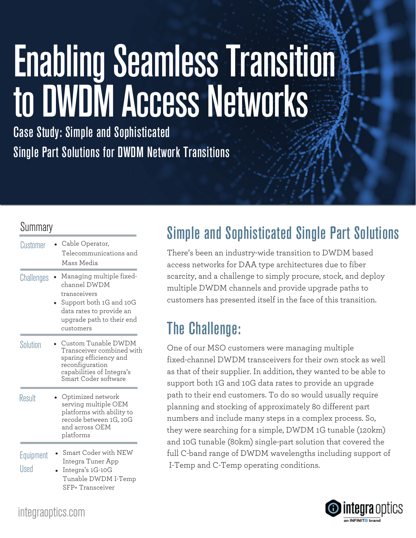# **Enabling Seamless Transition** to DWDM Access Networks

Case Study: Simple and Sophisticated Single Part Solutions for DWDM Network Transitions

#### **Summary**

| Customer          | Cable Operator,<br>Telecommunications and<br>Mass Media                                                                                                   |
|-------------------|-----------------------------------------------------------------------------------------------------------------------------------------------------------|
| Challenges        | Managing multiple fixed-<br>channel DWDM<br>transceivers<br>Support both 1G and 10G<br>data rates to provide an<br>upgrade path to their end<br>customers |
| Solution          | Custom Tunable DWDM<br>Transceiver combined with<br>sparing efficiency and<br>reconfiguration<br>capabilities of Integra's<br>Smart Coder software        |
| Result            | Optimized network<br>serving multiple OEM<br>platforms with ability to<br>recode between 1G, 10G<br>and across OEM<br>platforms                           |
| Equipment<br>Used | <b>Smart Coder with NEW</b><br>Integra Tuner App<br>Integra's 1G-10G<br>Tunable DWDM I-Temp<br>SFP+ Transceiver                                           |

### Simple and Sophisticated Single Part Solutions

There's been an industry-wide transition to DWDM based access networks for DAA type architectures due to fiber scarcity, and a challenge to simply procure, stock, and deploy multiple DWDM channels and provide upgrade paths to customers has presented itself in the face of this transition.

## The Challenge:

One of our MSO customers were managing multiple fixed-channel DWDM transceivers for their own stock as well as that of their supplier. In addition, they wanted to be able to support both 1G and 10G data rates to provide an upgrade path to their end customers. To do so would usually require planning and stocking of approximately 80 different part numbers and include many steps in a complex process. So, they were searching for a simple, DWDM 1G tunable (120km) and 10G tunable (80km) single-part solution that covered the full C-band range of DWDM wavelengths including support of I-Temp and C-Temp operating conditions.



#### integraoptics.com